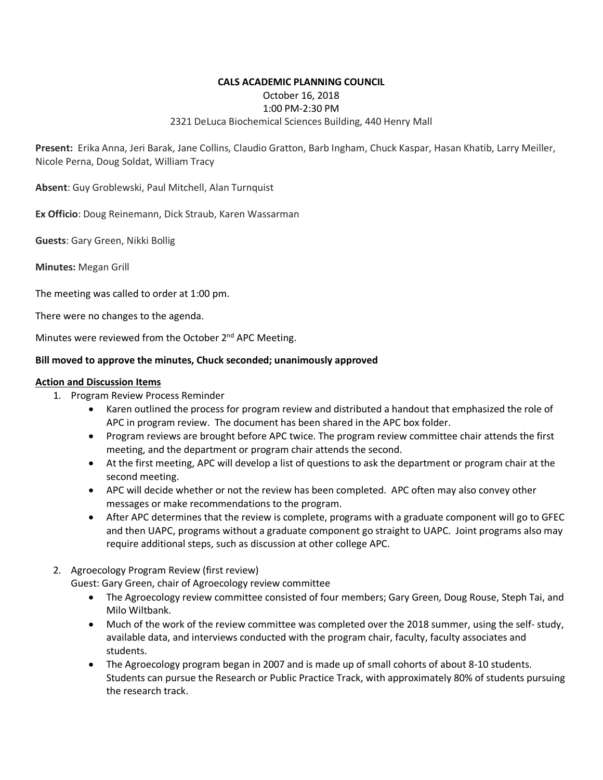## **CALS ACADEMIC PLANNING COUNCIL** October 16, 2018 1:00 PM-2:30 PM 2321 DeLuca Biochemical Sciences Building, 440 Henry Mall

**Present:** Erika Anna, Jeri Barak, Jane Collins, Claudio Gratton, Barb Ingham, Chuck Kaspar, Hasan Khatib, Larry Meiller, Nicole Perna, Doug Soldat, William Tracy

**Absent**: Guy Groblewski, Paul Mitchell, Alan Turnquist

**Ex Officio**: Doug Reinemann, Dick Straub, Karen Wassarman

**Guests**: Gary Green, Nikki Bollig

**Minutes:** Megan Grill

The meeting was called to order at 1:00 pm.

There were no changes to the agenda.

Minutes were reviewed from the October 2<sup>nd</sup> APC Meeting.

### **Bill moved to approve the minutes, Chuck seconded; unanimously approved**

#### **Action and Discussion Items**

- 1. Program Review Process Reminder
	- Karen outlined the process for program review and distributed a handout that emphasized the role of APC in program review. The document has been shared in the APC box folder.
	- Program reviews are brought before APC twice. The program review committee chair attends the first meeting, and the department or program chair attends the second.
	- At the first meeting, APC will develop a list of questions to ask the department or program chair at the second meeting.
	- APC will decide whether or not the review has been completed. APC often may also convey other messages or make recommendations to the program.
	- After APC determines that the review is complete, programs with a graduate component will go to GFEC and then UAPC, programs without a graduate component go straight to UAPC. Joint programs also may require additional steps, such as discussion at other college APC.
- 2. Agroecology Program Review (first review)

Guest: Gary Green, chair of Agroecology review committee

- The Agroecology review committee consisted of four members; Gary Green, Doug Rouse, Steph Tai, and Milo Wiltbank.
- Much of the work of the review committee was completed over the 2018 summer, using the self- study, available data, and interviews conducted with the program chair, faculty, faculty associates and students.
- The Agroecology program began in 2007 and is made up of small cohorts of about 8-10 students. Students can pursue the Research or Public Practice Track, with approximately 80% of students pursuing the research track.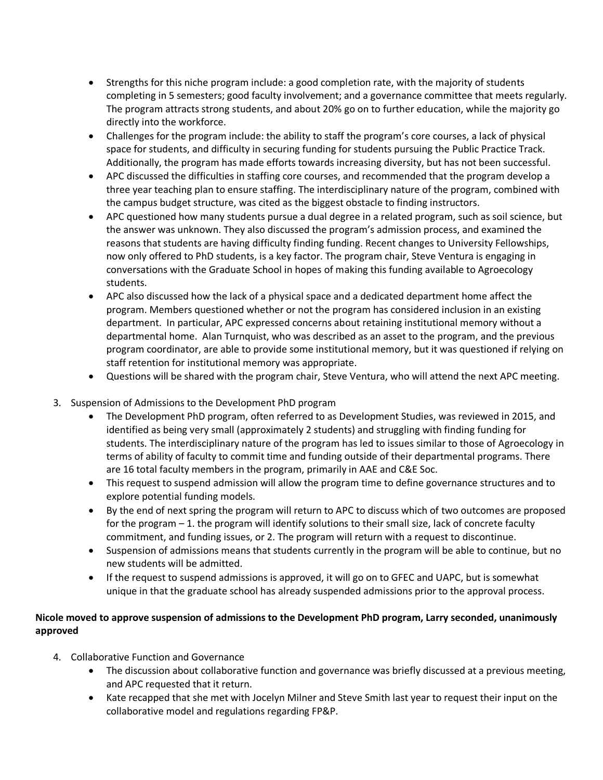- Strengths for this niche program include: a good completion rate, with the majority of students completing in 5 semesters; good faculty involvement; and a governance committee that meets regularly. The program attracts strong students, and about 20% go on to further education, while the majority go directly into the workforce.
- Challenges for the program include: the ability to staff the program's core courses, a lack of physical space for students, and difficulty in securing funding for students pursuing the Public Practice Track. Additionally, the program has made efforts towards increasing diversity, but has not been successful.
- APC discussed the difficulties in staffing core courses, and recommended that the program develop a three year teaching plan to ensure staffing. The interdisciplinary nature of the program, combined with the campus budget structure, was cited as the biggest obstacle to finding instructors.
- APC questioned how many students pursue a dual degree in a related program, such as soil science, but the answer was unknown. They also discussed the program's admission process, and examined the reasons that students are having difficulty finding funding. Recent changes to University Fellowships, now only offered to PhD students, is a key factor. The program chair, Steve Ventura is engaging in conversations with the Graduate School in hopes of making this funding available to Agroecology students.
- APC also discussed how the lack of a physical space and a dedicated department home affect the program. Members questioned whether or not the program has considered inclusion in an existing department. In particular, APC expressed concerns about retaining institutional memory without a departmental home. Alan Turnquist, who was described as an asset to the program, and the previous program coordinator, are able to provide some institutional memory, but it was questioned if relying on staff retention for institutional memory was appropriate.
- Questions will be shared with the program chair, Steve Ventura, who will attend the next APC meeting.
- 3. Suspension of Admissions to the Development PhD program
	- The Development PhD program, often referred to as Development Studies, was reviewed in 2015, and identified as being very small (approximately 2 students) and struggling with finding funding for students. The interdisciplinary nature of the program has led to issues similar to those of Agroecology in terms of ability of faculty to commit time and funding outside of their departmental programs. There are 16 total faculty members in the program, primarily in AAE and C&E Soc.
	- This request to suspend admission will allow the program time to define governance structures and to explore potential funding models.
	- By the end of next spring the program will return to APC to discuss which of two outcomes are proposed for the program – 1. the program will identify solutions to their small size, lack of concrete faculty commitment, and funding issues, or 2. The program will return with a request to discontinue.
	- Suspension of admissions means that students currently in the program will be able to continue, but no new students will be admitted.
	- If the request to suspend admissions is approved, it will go on to GFEC and UAPC, but is somewhat unique in that the graduate school has already suspended admissions prior to the approval process.

# **Nicole moved to approve suspension of admissions to the Development PhD program, Larry seconded, unanimously approved**

- 4. Collaborative Function and Governance
	- The discussion about collaborative function and governance was briefly discussed at a previous meeting, and APC requested that it return.
	- Kate recapped that she met with Jocelyn Milner and Steve Smith last year to request their input on the collaborative model and regulations regarding FP&P.